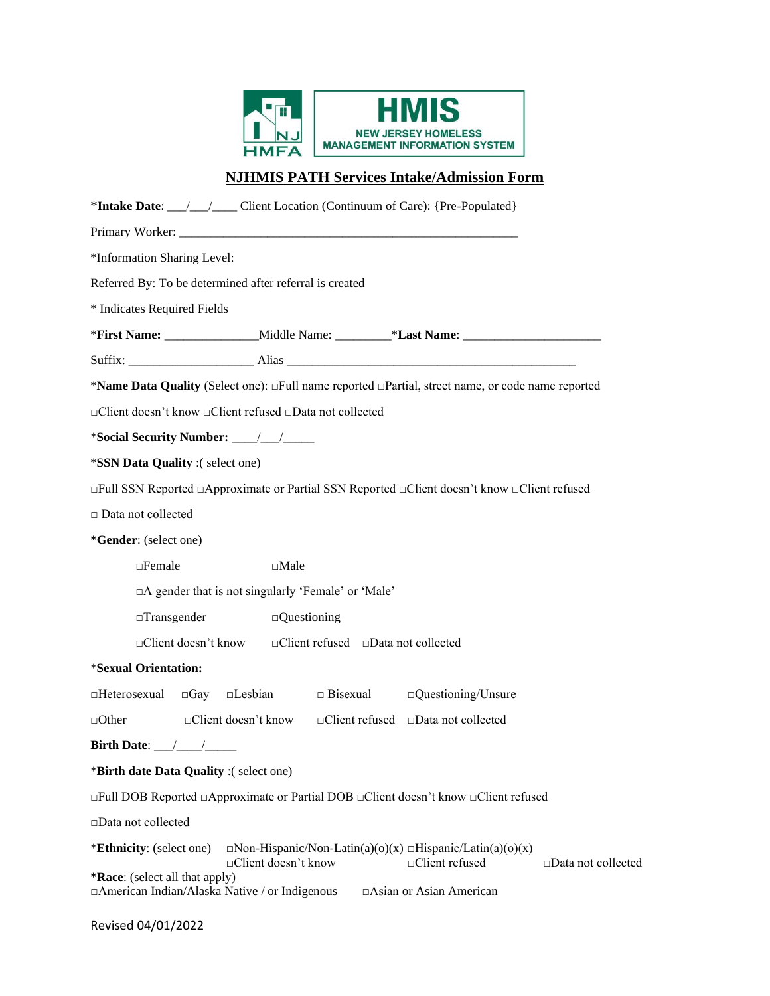

# **NJHMIS PATH Services Intake/Admission Form**

| *Intake Date: __/__/___ Client Location (Continuum of Care): {Pre-Populated}                                                                                                                                   |
|----------------------------------------------------------------------------------------------------------------------------------------------------------------------------------------------------------------|
|                                                                                                                                                                                                                |
| *Information Sharing Level:                                                                                                                                                                                    |
| Referred By: To be determined after referral is created                                                                                                                                                        |
| * Indicates Required Fields                                                                                                                                                                                    |
|                                                                                                                                                                                                                |
|                                                                                                                                                                                                                |
| *Name Data Quality (Select one): $\Box$ Full name reported $\Box$ Partial, street name, or code name reported                                                                                                  |
| □ Client doesn't know □ Client refused □ Data not collected                                                                                                                                                    |
|                                                                                                                                                                                                                |
| *SSN Data Quality :(select one)                                                                                                                                                                                |
| $\Box$ Full SSN Reported $\Box$ Approximate or Partial SSN Reported $\Box$ Client doesn't know $\Box$ Client refused                                                                                           |
| □ Data not collected                                                                                                                                                                                           |
| *Gender: (select one)                                                                                                                                                                                          |
| $\Box$ Female<br>$\Box$ Male                                                                                                                                                                                   |
| □A gender that is not singularly 'Female' or 'Male'                                                                                                                                                            |
| $\Box$ Transgender<br>$\Box$ Questioning                                                                                                                                                                       |
| □Client doesn't know □Client refused □Data not collected                                                                                                                                                       |
| *Sexual Orientation:                                                                                                                                                                                           |
| $\square$ Lesbian $\square$ Bisexual<br>$\Box$ Questioning/Unsure<br>□Heterosexual<br>$\Box$ Gay                                                                                                               |
| $\Box$ Client doesn't know $\Box$ Client refused $\Box$ Data not collected<br>$\Box$ Other                                                                                                                     |
| Birth Date: $\_\_\_\_\_\_\_\_\_\_\_\_\_\$                                                                                                                                                                      |
| *Birth date Data Quality :(select one)                                                                                                                                                                         |
| $\Box$ Full DOB Reported $\Box$ Approximate or Partial DOB $\Box$ Client doesn't know $\Box$ Client refused                                                                                                    |
| □Data not collected                                                                                                                                                                                            |
| *Ethnicity: (select one)<br>$\Box$ Non-Hispanic/Non-Latin(a)(o)(x) $\Box$ Hispanic/Latin(a)(o)(x)<br>□Client doesn't know<br>□Client refused<br>$\square$ Data not collected<br>*Race: (select all that apply) |
| □ American Indian/Alaska Native / or Indigenous<br>□Asian or Asian American                                                                                                                                    |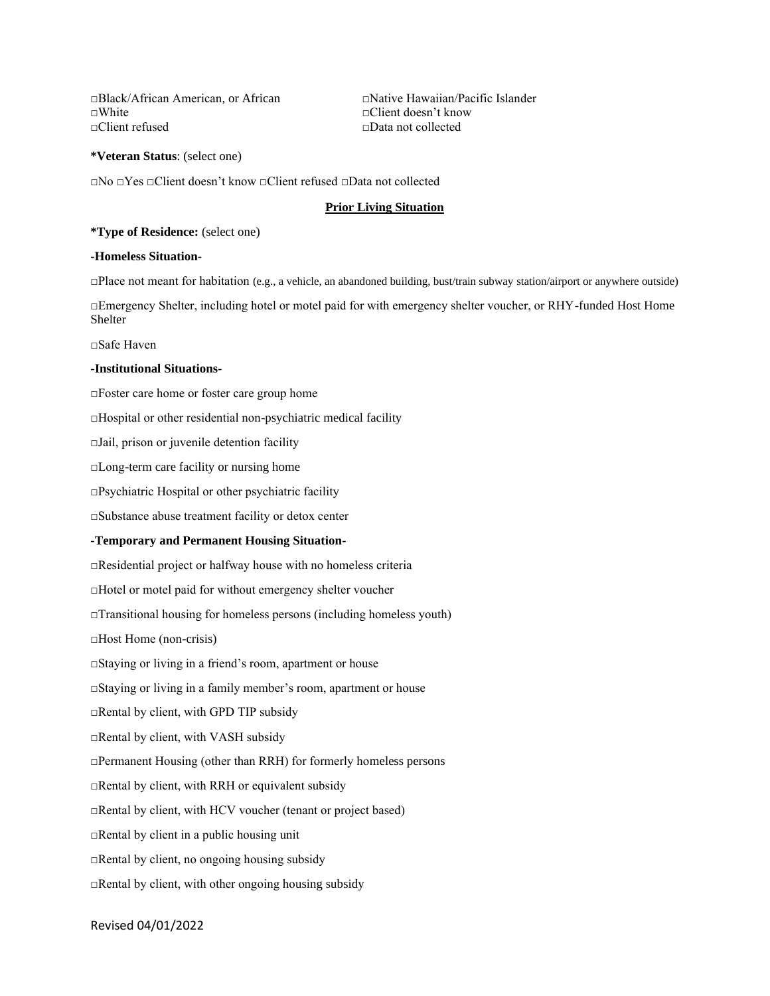□Black/African American, or African □Native Hawaiian/Pacific Islander □White □Client doesn't know □Client refused □Data not collected

**\*Veteran Status**: (select one)

□No □Yes □Client doesn't know □Client refused □Data not collected

# **Prior Living Situation**

**\*Type of Residence:** (select one)

# **-Homeless Situation-**

□Place not meant for habitation (e.g., a vehicle, an abandoned building, bust/train subway station/airport or anywhere outside)

□Emergency Shelter, including hotel or motel paid for with emergency shelter voucher, or RHY-funded Host Home Shelter

□Safe Haven

### **-Institutional Situations-**

□Foster care home or foster care group home

 $\Box$ Hospital or other residential non-psychiatric medical facility

□Jail, prison or juvenile detention facility

□Long-term care facility or nursing home

□Psychiatric Hospital or other psychiatric facility

□Substance abuse treatment facility or detox center

### **-Temporary and Permanent Housing Situation-**

□Residential project or halfway house with no homeless criteria

□Hotel or motel paid for without emergency shelter voucher

□Transitional housing for homeless persons (including homeless youth)

□Host Home (non-crisis)

□Staying or living in a friend's room, apartment or house

□Staying or living in a family member's room, apartment or house

□Rental by client, with GPD TIP subsidy

□Rental by client, with VASH subsidy

□Permanent Housing (other than RRH) for formerly homeless persons

 $\Box$ Rental by client, with RRH or equivalent subsidy

□Rental by client, with HCV voucher (tenant or project based)

 $\Box$ Rental by client in a public housing unit

 $\Box$ Rental by client, no ongoing housing subsidy

□Rental by client, with other ongoing housing subsidy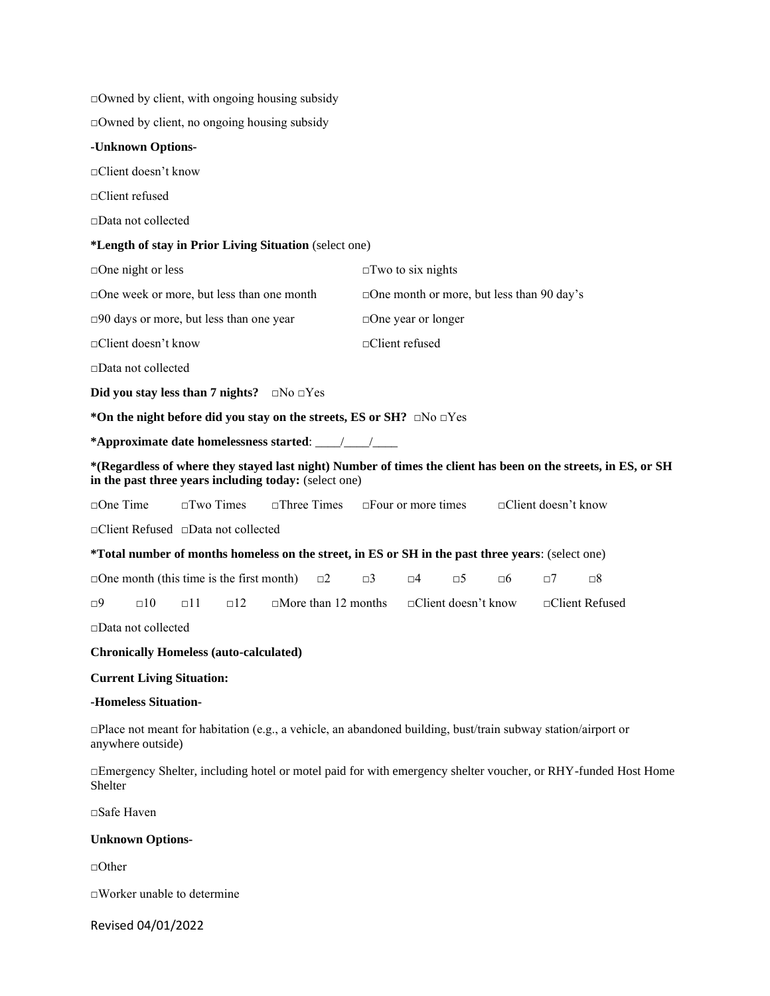$\Box$ Owned by client, with ongoing housing subsidy

□Owned by client, no ongoing housing subsidy

# **-Unknown Options-**

□Client doesn't know

□Client refused

□Data not collected

# **\*Length of stay in Prior Living Situation** (select one)

| $\Box$ One night or less                                                                                                                                                                                                                                                             | $\Box$ Two to six nights                                                   |  |  |  |  |  |  |  |
|--------------------------------------------------------------------------------------------------------------------------------------------------------------------------------------------------------------------------------------------------------------------------------------|----------------------------------------------------------------------------|--|--|--|--|--|--|--|
| $\square$ One week or more, but less than one month                                                                                                                                                                                                                                  | $\Box$ One month or more, but less than 90 day's                           |  |  |  |  |  |  |  |
| $\square$ 90 days or more, but less than one year                                                                                                                                                                                                                                    | $\Box$ One year or longer                                                  |  |  |  |  |  |  |  |
| $\Box$ Client doesn't know                                                                                                                                                                                                                                                           | $\Box$ Client refused                                                      |  |  |  |  |  |  |  |
| $\Box$ Data not collected                                                                                                                                                                                                                                                            |                                                                            |  |  |  |  |  |  |  |
| Did you stay less than 7 nights? $\Box$ No $\Box$ Yes                                                                                                                                                                                                                                |                                                                            |  |  |  |  |  |  |  |
| *On the night before did you stay on the streets, ES or SH? $\Box$ No $\Box$ Yes                                                                                                                                                                                                     |                                                                            |  |  |  |  |  |  |  |
| *Approximate date homelessness started: / /                                                                                                                                                                                                                                          |                                                                            |  |  |  |  |  |  |  |
| *(Regardless of where they stayed last night) Number of times the client has been on the streets, in ES, or SH<br>in the past three years including today: (select one)                                                                                                              |                                                                            |  |  |  |  |  |  |  |
| $\Box$ One Time $\Box$ Two Times                                                                                                                                                                                                                                                     | $\Box$ Three Times $\Box$ Four or more times<br>$\Box$ Client doesn't know |  |  |  |  |  |  |  |
| $\sim$ 1. $\sim$ 1. $\sim$ 1. $\sim$ 1. $\sim$ 1. $\sim$ 1. $\sim$ 1. $\sim$ 1. $\sim$ 1. $\sim$ 1. $\sim$ 1. $\sim$ 1. $\sim$ 1. $\sim$ 1. $\sim$ 1. $\sim$ 1. $\sim$ 1. $\sim$ 1. $\sim$ 1. $\sim$ 1. $\sim$ 1. $\sim$ 1. $\sim$ 1. $\sim$ 1. $\sim$ 1. $\sim$ 1. $\sim$ 1. $\sim$ |                                                                            |  |  |  |  |  |  |  |

□Client Refused □Data not collected

| *Total number of months homeless on the street, in ES or SH in the past three years: (select one) |  |  |
|---------------------------------------------------------------------------------------------------|--|--|
|---------------------------------------------------------------------------------------------------|--|--|

| $\Box$ One month (this time is the first month) |  |  |  |  |  |  |  |
|-------------------------------------------------|--|--|--|--|--|--|--|
|-------------------------------------------------|--|--|--|--|--|--|--|

 $\Box$ 9  $\Box$ 10  $\Box$ 11  $\Box$ 12  $\Box$  More than 12 months  $\Box$  Client doesn't know  $\Box$  Client Refused

□Data not collected

# **Chronically Homeless (auto-calculated)**

# **Current Living Situation:**

## **-Homeless Situation-**

□Place not meant for habitation (e.g., a vehicle, an abandoned building, bust/train subway station/airport or anywhere outside)

□Emergency Shelter, including hotel or motel paid for with emergency shelter voucher, or RHY-funded Host Home Shelter

□Safe Haven

### **Unknown Options-**

□Other

□Worker unable to determine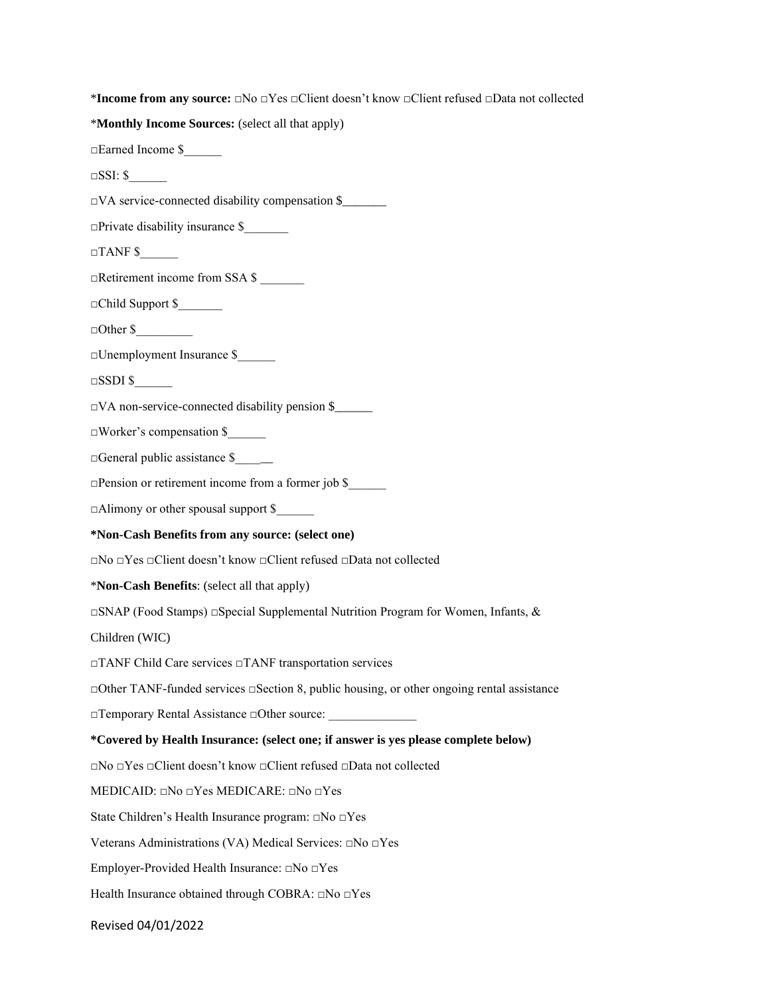\***Income from any source:** □No □Yes □Client doesn't know □Client refused □Data not collected

\***Monthly Income Sources:** (select all that apply)

□Earned Income \$\_\_\_\_\_\_

 $\square$ SSI: \$

□VA service-connected disability compensation \$\_\_\_\_\_\_\_

□Private disability insurance \$\_\_\_\_\_\_\_

 $\Box$ TANF \$

□Retirement income from SSA \$ \_\_\_\_\_\_\_

 $\Box$ Child Support \$

 $\Box$  Other \$

□Unemployment Insurance \$\_\_\_\_\_\_

 $\Box$ SSDI \$

□VA non-service-connected disability pension \$\_\_\_\_\_\_

□Worker's compensation \$\_\_\_\_\_\_

 $\Box$ General public assistance \$ $\Box$ 

□Pension or retirement income from a former job \$\_\_\_\_\_\_

□Alimony or other spousal support \$

#### **\*Non-Cash Benefits from any source: (select one)**

□No □Yes □Client doesn't know □Client refused □Data not collected

\***Non-Cash Benefits**: (select all that apply)

□SNAP (Food Stamps) □Special Supplemental Nutrition Program for Women, Infants, &

Children (WIC)

□TANF Child Care services □TANF transportation services

□Other TANF-funded services □Section 8, public housing, or other ongoing rental assistance

□Temporary Rental Assistance □Other source:

# **\*Covered by Health Insurance: (select one; if answer is yes please complete below)**

□No □Yes □Client doesn't know □Client refused □Data not collected

MEDICAID: □No □Yes MEDICARE: □No □Yes

State Children's Health Insurance program: □No □Yes

Veterans Administrations (VA) Medical Services: □No □Yes

Employer-Provided Health Insurance: □No □Yes

Health Insurance obtained through COBRA: □No □Yes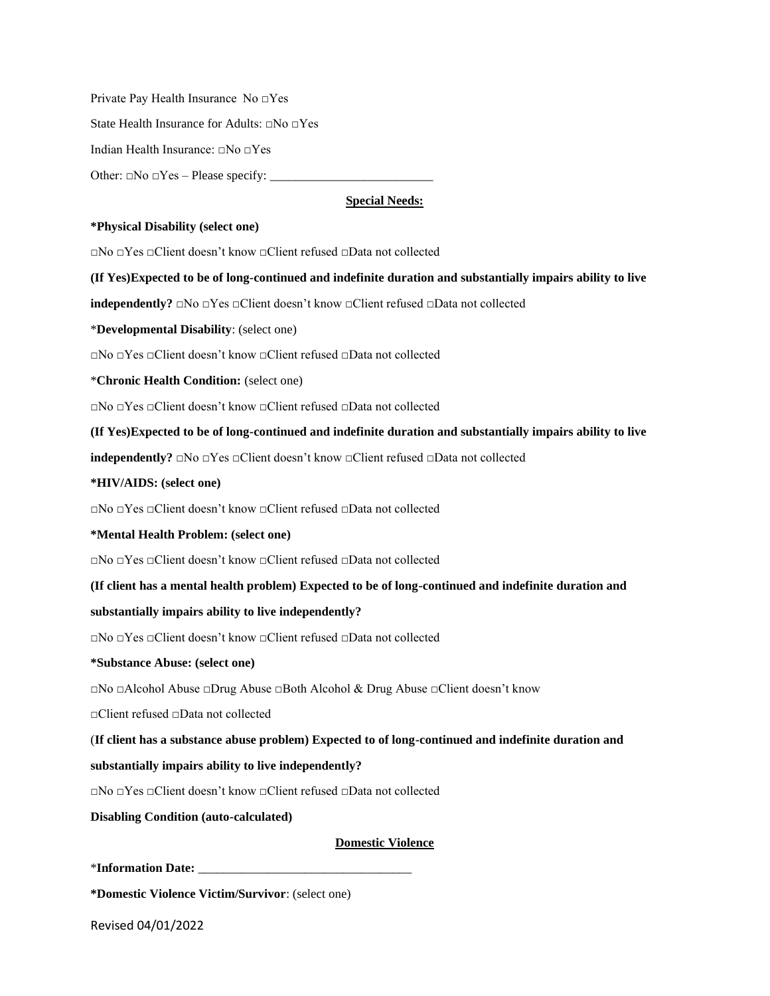Private Pay Health Insurance No □Yes

State Health Insurance for Adults: □No □Yes

Indian Health Insurance: □No □Yes

Other:  $\square$ No  $\square$ Yes – Please specify:

# **Special Needs:**

### **\*Physical Disability (select one)**

□No □Yes □Client doesn't know □Client refused □Data not collected

**(If Yes)Expected to be of long-continued and indefinite duration and substantially impairs ability to live**

**independently?** □No □Yes □Client doesn't know □Client refused □Data not collected

\***Developmental Disability**: (select one)

□No □Yes □Client doesn't know □Client refused □Data not collected

\***Chronic Health Condition:** (select one)

□No □Yes □Client doesn't know □Client refused □Data not collected

**(If Yes)Expected to be of long-continued and indefinite duration and substantially impairs ability to live**

**independently?** □No □Yes □Client doesn't know □Client refused □Data not collected

#### **\*HIV/AIDS: (select one)**

□No □Yes □Client doesn't know □Client refused □Data not collected

#### **\*Mental Health Problem: (select one)**

□No □Yes □Client doesn't know □Client refused □Data not collected

**(If client has a mental health problem) Expected to be of long-continued and indefinite duration and**

### **substantially impairs ability to live independently?**

□No □Yes □Client doesn't know □Client refused □Data not collected

#### **\*Substance Abuse: (select one)**

□No □Alcohol Abuse □Drug Abuse □Both Alcohol & Drug Abuse □Client doesn't know

□Client refused □Data not collected

(**If client has a substance abuse problem) Expected to of long-continued and indefinite duration and substantially impairs ability to live independently?**

□No □Yes □Client doesn't know □Client refused □Data not collected

**Disabling Condition (auto-calculated)**

### **Domestic Violence**

\***Information Date:** \_\_\_\_\_\_\_\_\_\_\_\_\_\_\_\_\_\_\_\_\_\_\_\_\_\_\_\_\_\_\_\_\_\_

**\*Domestic Violence Victim/Survivor**: (select one)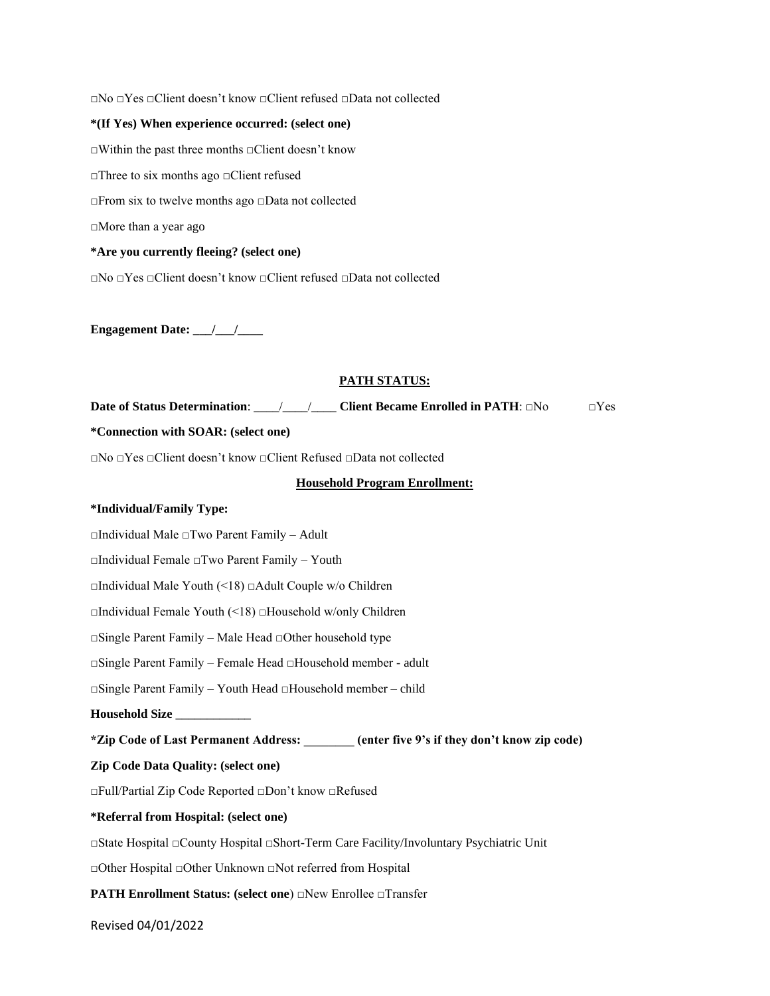□No □Yes □Client doesn't know □Client refused □Data not collected **\*(If Yes) When experience occurred: (select one)** □Within the past three months □Client doesn't know □Three to six months ago □Client refused □From six to twelve months ago □Data not collected □More than a year ago **\*Are you currently fleeing? (select one)** □No □Yes □Client doesn't know □Client refused □Data not collected

**Engagement Date: \_\_\_/\_\_\_/\_\_\_\_**

# **PATH STATUS:**

**Date of Status Determination**: \_\_\_\_/\_\_\_\_/\_\_\_\_ **Client Became Enrolled in PATH**: □No □Yes

#### **\*Connection with SOAR: (select one)**

□No □Yes □Client doesn't know □Client Refused □Data not collected

## **Household Program Enrollment:**

#### **\*Individual/Family Type:**

□Individual Male □Two Parent Family – Adult

□Individual Female □Two Parent Family – Youth

□Individual Male Youth (<18) □Adult Couple w/o Children

□Individual Female Youth (<18) □Household w/only Children

□Single Parent Family – Male Head □Other household type

□Single Parent Family – Female Head □Household member - adult

□Single Parent Family – Youth Head □Household member – child

**Household Size** \_\_\_\_\_\_\_\_\_\_\_\_

**\*Zip Code of Last Permanent Address: \_\_\_\_\_\_\_\_ (enter five 9's if they don't know zip code)**

#### **Zip Code Data Quality: (select one)**

□Full/Partial Zip Code Reported □Don't know □Refused

### **\*Referral from Hospital: (select one)**

□State Hospital □County Hospital □Short-Term Care Facility/Involuntary Psychiatric Unit

□Other Hospital □Other Unknown □Not referred from Hospital

**PATH Enrollment Status: (select one)** □New Enrollee □Transfer